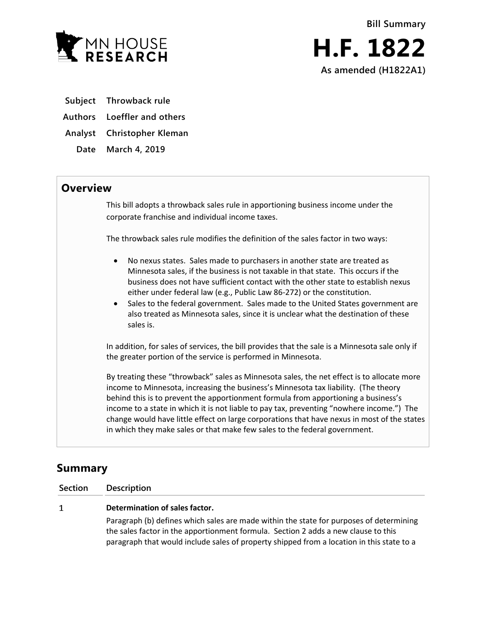

- **Subject Throwback rule**
- **Authors Loeffler and others**
- **Analyst Christopher Kleman**
- **Date March 4, 2019**

## **Overview**

This bill adopts a throwback sales rule in apportioning business income under the corporate franchise and individual income taxes.

The throwback sales rule modifies the definition of the sales factor in two ways:

- No nexus states. Sales made to purchasers in another state are treated as Minnesota sales, if the business is not taxable in that state. This occurs if the business does not have sufficient contact with the other state to establish nexus either under federal law (e.g., Public Law 86-272) or the constitution.
- Sales to the federal government. Sales made to the United States government are also treated as Minnesota sales, since it is unclear what the destination of these sales is.

In addition, for sales of services, the bill provides that the sale is a Minnesota sale only if the greater portion of the service is performed in Minnesota.

By treating these "throwback" sales as Minnesota sales, the net effect is to allocate more income to Minnesota, increasing the business's Minnesota tax liability. (The theory behind this is to prevent the apportionment formula from apportioning a business's income to a state in which it is not liable to pay tax, preventing "nowhere income.") The change would have little effect on large corporations that have nexus in most of the states in which they make sales or that make few sales to the federal government.

## **Summary**

**Section Description**

## **Determination of sales factor.**  $\mathbf{1}$

Paragraph (b) defines which sales are made within the state for purposes of determining the sales factor in the apportionment formula. Section 2 adds a new clause to this paragraph that would include sales of property shipped from a location in this state to a